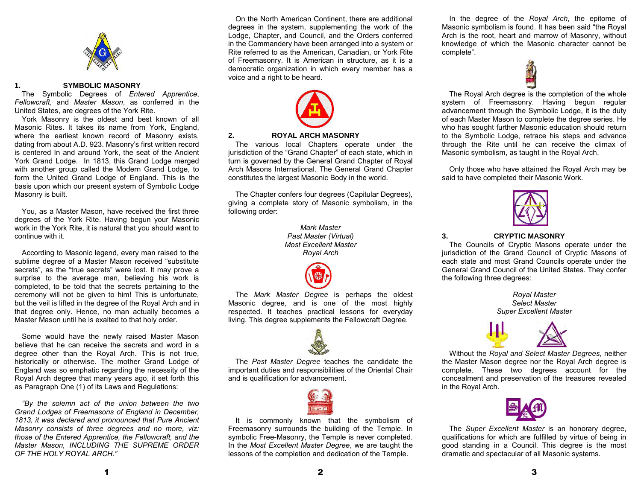

#### **1. SYMBOLIC MASONRY**

 The Symbolic Degrees of *Entered Apprentice*, *Fellowcraft*, and *Master Mason*, as conferred in the United States, are degrees of the York Rite.

 York Masonry is the oldest and best known of all Masonic Rites. It takes its name from York, England, where the earliest known record of Masonry exists, dating from about A.D. 923. Masonry's first written record is centered In and around York, the seat of the Ancient York Grand Lodge. In 1813, this Grand Lodge merged with another group called the Modern Grand Lodge, to form the United Grand Lodge of England. This is the basis upon which our present system of Symbolic Lodge Masonry is built.

 You, as a Master Mason, have received the first three degrees of the York Rite. Having begun your Masonic work in the York Rite, it is natural that you should want to continue with it.

 According to Masonic legend, every man raised to the sublime degree of a Master Mason received "substitute secrets", as the "true secrets" were lost. It may prove a surprise to the average man, believing his work is completed, to be told that the secrets pertaining to the ceremony will not be given to him! This is unfortunate, but the veil is lifted in the degree of the Royal Arch and in that degree only. Hence, no man actually becomes a Master Mason until he is exalted to that holy order.

Some would have the newly raised Master Mason believe that he can receive the secrets and word in a degree other than the Royal Arch. This is not true, historically or otherwise. The mother Grand Lodge of England was so emphatic regarding the necessity of the Royal Arch degree that many years ago, it set forth this as Paragraph One (1) of its Laws and Regulations:

*"By the solemn act of the union between the two Grand Lodges of Freemasons of England in December, 1813, it was declared and pronounced that Pure Ancient Masonry consists of three degrees and no more, viz: those of the Entered Apprentice, the Fellowcraft, and the Master Mason, INCLUDING THE SUPREME ORDER OF THE HOLY ROYAL ARCH."* 

 On the North American Continent, there are additional degrees in the system, supplementing the work of the Lodge, Chapter, and Council, and the Orders conferred in the Commandery have been arranged into a system or Rite referred to as the American, Canadian, or York Rite of Freemasonry. It is American in structure, as it is a democratic organization in which every member has a voice and a right to be heard.



#### **2. ROYAL ARCH MASONRY**

The various local Chapters operate under the jurisdiction of the "Grand Chapter" of each state, which in turn is governed by the General Grand Chapter of Royal Arch Masons International. The General Grand Chapter constitutes the largest Masonic Body in the world.

The Chapter confers four degrees (Capitular Degrees), giving a complete story of Masonic symbolism, in the following order:

> *Mark Master Past Master (Virtual) Most Excellent Master Royal Arch*



The *Mark Master Degree* is perhaps the oldest Masonic degree, and is one of the most highly respected. It teaches practical lessons for everyday living. This degree supplements the Fellowcraft Degree.



The *Past Master Degree* teaches the candidate the important duties and responsibilities of the Oriental Chair and is qualification for advancement.



It is commonly known that the symbolism of Freemasonry surrounds the building of the Temple. In symbolic Free-Masonry, the Temple is never completed. In the *Most Excellent Master Degree*, we are taught the lessons of the completion and dedication of the Temple.

 In the degree of the *Royal Arch*, the epitome of Masonic symbolism is found. It has been said "the Royal Arch is the root, heart and marrow of Masonry, without knowledge of which the Masonic character cannot be complete".



The Royal Arch degree is the completion of the whole system of Freemasonry. Having begun regular advancement through the Symbolic Lodge, it is the duty of each Master Mason to complete the degree series. He who has sought further Masonic education should return to the Symbolic Lodge, retrace his steps and advance through the Rite until he can receive the climax of Masonic symbolism, as taught in the Royal Arch.

Only those who have attained the Royal Arch may be said to have completed their Masonic Work.



#### **3. CRYPTIC MASONRY**

 The Councils of Cryptic Masons operate under the jurisdiction of the Grand Council of Cryptic Masons of each state and most Grand Councils operate under the General Grand Council of the United States. They confer the following three degrees:

> *Royal Master Select Master Super Excellent Master*



Without the *Royal and Select Master Degrees*, neither the Master Mason degree nor the Royal Arch degree is complete. These two degrees account for the concealment and preservation of the treasures revealed in the Royal Arch.



The *Super Excellent Master* is an honorary degree, qualifications for which are fulfilled by virtue of being in good standing in a Council. This degree is the most dramatic and spectacular of all Masonic systems.